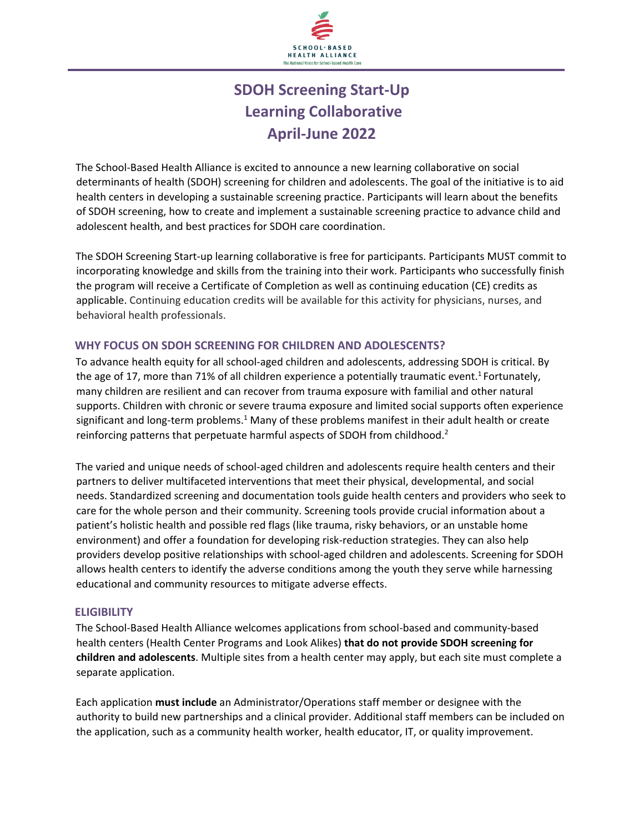

# **Learning Collaborative April-June 2022 SDOH Screening Start-Up**

The School-Based Health Alliance is excited to announce a new learning collaborative on social determinants of health (SDOH) screening for children and adolescents. The goal of the initiative is to aid health centers in developing a sustainable screening practice. Participants will learn about the benefits of SDOH screening, how to create and implement a sustainable screening practice to advance child and adolescent health, and best practices for SDOH care coordination.

The SDOH Screening Start-up learning collaborative is free for participants. Participants MUST commit to incorporating knowledge and skills from the training into their work. Participants who successfully finish the program will receive a Certificate of Completion as well as continuing education (CE) credits as applicable. Continuing education credits will be available for this activity for physicians, nurses, and behavioral health professionals.

# **WHY FOCUS ON SDOH SCREENING FOR CHILDREN AND ADOLESCENTS?**

To advance health equity for all school-aged children and adolescents, addressing SDOH is critical. By the age of 17, more than 71% of all children experience a potentially traumatic event.<sup>1</sup> Fortunately, many children are resilient and can recover from trauma exposure with familial and other natural supports. Children with chronic or severe trauma exposure and limited social supports often experience significant and long-term problems.<sup>1</sup> Many of these problems manifest in their adult health or create reinforcing patterns that perpetuate harmful aspects of SDOH from childhood.<sup>2</sup>

The varied and unique needs of school-aged children and adolescents require health centers and their partners to deliver multifaceted interventions that meet their physical, developmental, and social needs. Standardized screening and documentation tools guide health centers and providers who seek to care for the whole person and their community. Screening tools provide crucial information about a patient's holistic health and possible red flags (like trauma, risky behaviors, or an unstable home environment) and offer a foundation for developing risk-reduction strategies. They can also help providers develop positive relationships with school-aged children and adolescents. Screening for SDOH allows health centers to identify the adverse conditions among the youth they serve while harnessing educational and community resources to mitigate adverse effects.

# **ELIGIBILITY**

The School-Based Health Alliance welcomes applications from school-based and community-based health centers (Health Center Programs and Look Alikes) **that do not provide SDOH screening for children and adolescents**. Multiple sites from a health center may apply, but each site must complete a separate application.

Each application **must include** an Administrator/Operations staff member or designee with the authority to build new partnerships and a clinical provider. Additional staff members can be included on the application, such as a community health worker, health educator, IT, or quality improvement.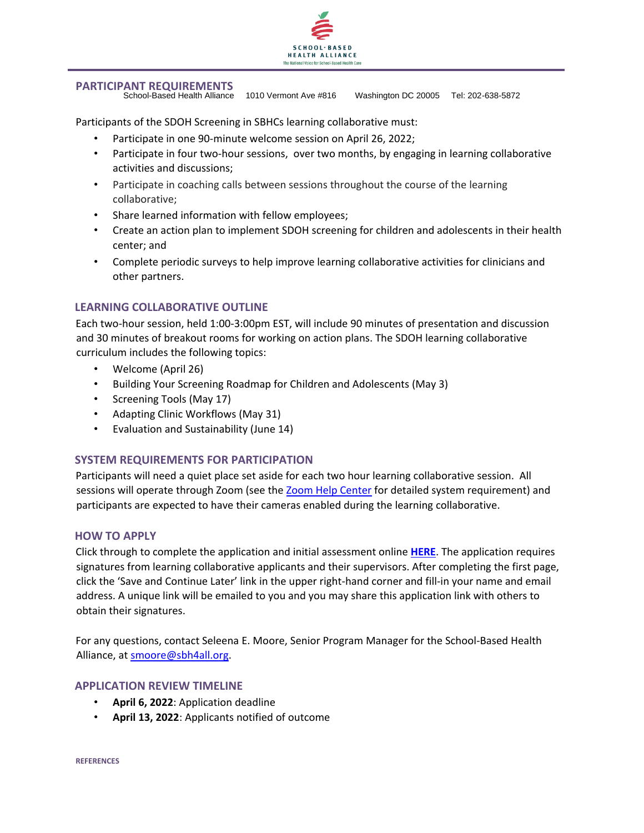

## **PARTICIPANT REQUIREMENTS**

School-Based Health Alliance 1010 Vermont Ave #816 Washington DC 20005 Tel: 202-638-5872

Participants of the SDOH Screening in SBHCs learning collaborative must:

- Participate in one 90-minute welcome session on April 26, 2022;
- Participate in four two-hour sessions, over two months, by engaging in learning collaborative activities and discussions;
- Participate in coaching calls between sessions throughout the course of the learning collaborative;
- Share learned information with fellow employees;
- Create an action plan to implement SDOH screening for children and adolescents in their health center; and
- Complete periodic surveys to help improve learning collaborative activities for clinicians and other partners.

## **LEARNING COLLABORATIVE OUTLINE**

Each two-hour session, held 1:00-3:00pm EST, will include 90 minutes of presentation and discussion and 30 minutes of breakout rooms for working on action plans. The SDOH learning collaborative curriculum includes the following topics:

- Welcome (April 26)
- Building Your Screening Roadmap for Children and Adolescents (May 3)
- Screening Tools (May 17)
- Adapting Clinic Workflows (May 31)
- Evaluation and Sustainability (June 14)

# **SYSTEM REQUIREMENTS FOR PARTICIPATION**

Participants will need a quiet place set aside for each two hour learning collaborative session. All sessions will operate through Zoom (see the [Zoom Help Center](https://support.zoom.us/hc/en-us/articles/201362023-System-Requirements-for-PC-Mac-and-Linux) for detailed system requirement) and participants are expected to have their cameras enabled during the learning collaborative.

#### **HOW TO APPLY**

Click through to complete the application and initial assessment online **[HERE](https://survey.alchemer.com/s3/6763138/SDOH-Screening-Start-up-Learning-Collaborative-Application)**[.](https://survey.alchemer.com/s3/6763138/SDOH-Screening-Start-up-Learning-Collaborative-Application) The application requires signatures from learning collaborative applicants and their supervisors. After completing the first page, click the 'Save and Continue Later' link in the upper right-hand corner and fill-in your name and email address. A unique link will be emailed to you and you may share this application link with others to obtain their signatures.

For any questions, contact Seleena E. Moore, Senior Program Manager for the School-Based Health Alliance, at smoore@sbh4all.org.

#### **APPLICATION REVIEW TIMELINE**

- **April 6, 2022**: Application deadline
- **April 13, 2022**: Applicants notified of outcome